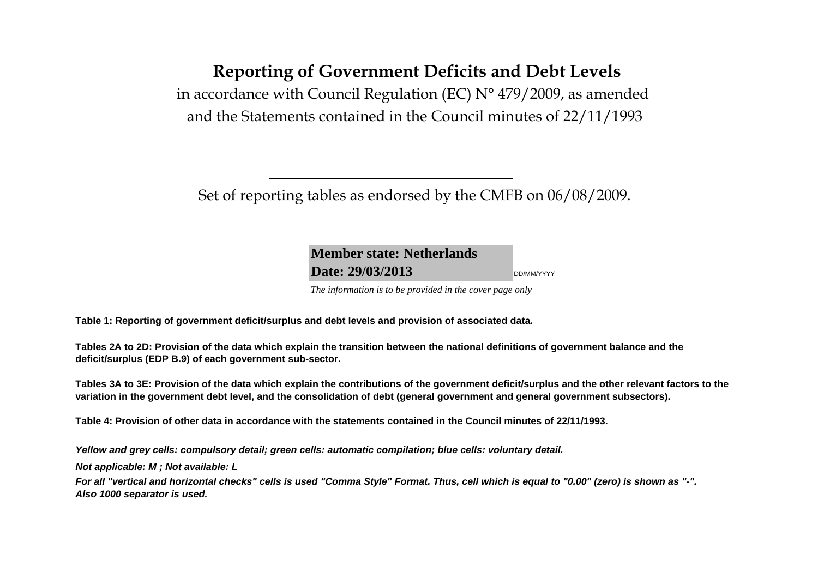# **Reporting of Government Deficits and Debt Levels**

in accordance with Council Regulation (EC) N° 479/2009, as amended and the Statements contained in the Council minutes of 22/11/1993

Set of reporting tables as endorsed by the CMFB on 06/08/2009.

**Member state: NetherlandsDate: 29/03/2013**DD/MM/YYYY

*The information is to be provided in the cover page only* 

**Table 1: Reporting of government deficit/surplus and debt levels and provision of associated data.**

**Tables 2A to 2D: Provision of the data which explain the transition between the national definitions of government balance and the deficit/surplus (EDP B.9) of each government sub-sector.**

**Tables 3A to 3E: Provision of the data which explain the contributions of the government deficit/surplus and the other relevant factors to the variation in the government debt level, and the consolidation of debt (general government and general government subsectors).**

**Table 4: Provision of other data in accordance with the statements contained in the Council minutes of 22/11/1993.**

**Yellow and grey cells: compulsory detail; green cells: automatic compilation; blue cells: voluntary detail.**

**Not applicable: M ; Not available: L** 

**For all "vertical and horizontal checks" cells is used "Comma Style" Format. Thus, cell which is equal to "0.00" (zero) is shown as "-". Also 1000 separator is used.**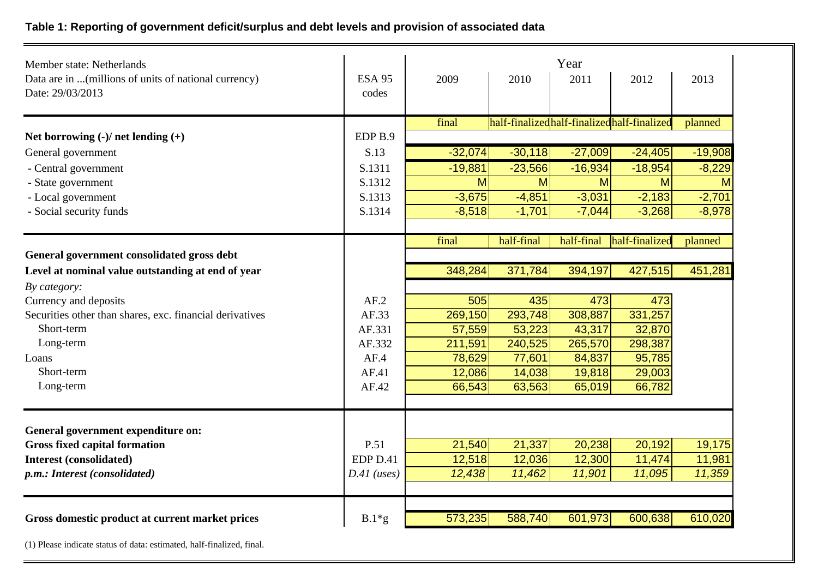## **Table 1: Reporting of government deficit/surplus and debt levels and provision of associated data**

| Member state: Netherlands                                |                    |           |                                            | Year       |                |           |
|----------------------------------------------------------|--------------------|-----------|--------------------------------------------|------------|----------------|-----------|
| Data are in (millions of units of national currency)     | <b>ESA 95</b>      | 2009      | 2010                                       | 2011       | 2012           | 2013      |
| Date: 29/03/2013                                         | codes              |           |                                            |            |                |           |
|                                                          |                    | final     | half-finalizedhalf-finalizedhalf-finalized |            |                | planned   |
| Net borrowing $(-)/$ net lending $(+)$                   | EDP <sub>B.9</sub> |           |                                            |            |                |           |
| General government                                       | S.13               | $-32,074$ | $-30,118$                                  | $-27,009$  | $-24,405$      | $-19,908$ |
| - Central government                                     | S.1311             | $-19,881$ | $-23,566$                                  | $-16,934$  | $-18,954$      | $-8,229$  |
| - State government                                       | S.1312             | M         | M                                          | M          | M              | M         |
| - Local government                                       | S.1313             | $-3,675$  | $-4,851$                                   | $-3,031$   | $-2,183$       | $-2,701$  |
| - Social security funds                                  | S.1314             | $-8,518$  | $-1,701$                                   | $-7,044$   | $-3,268$       | $-8,978$  |
|                                                          |                    |           |                                            |            |                |           |
|                                                          |                    | final     | half-final                                 | half-final | half-finalized | planned   |
| General government consolidated gross debt               |                    |           |                                            |            |                |           |
| Level at nominal value outstanding at end of year        |                    | 348,284   | 371,784                                    | 394,197    | 427,515        | 451,281   |
| By category:                                             |                    |           |                                            |            |                |           |
| Currency and deposits                                    | AF.2               | 505       | 435                                        | 473        | 473            |           |
| Securities other than shares, exc. financial derivatives | AF.33              | 269,150   | 293,748                                    | 308,887    | 331,257        |           |
| Short-term                                               | AF.331             | 57,559    | 53,223                                     | 43,317     | 32,870         |           |
| Long-term                                                | AF.332             | 211,591   | 240,525                                    | 265,570    | 298,387        |           |
| Loans                                                    | AF.4               | 78,629    | 77,601                                     | 84,837     | 95,785         |           |
| Short-term                                               | AF.41              | 12,086    | 14,038                                     | 19,818     | 29,003         |           |
| Long-term                                                | AF.42              | 66,543    | 63,563                                     | 65,019     | 66,782         |           |
|                                                          |                    |           |                                            |            |                |           |
| General government expenditure on:                       |                    |           |                                            |            |                |           |
| <b>Gross fixed capital formation</b>                     | P.51               | 21,540    | 21,337                                     | 20,238     | 20,192         | 19,175    |
| <b>Interest (consolidated)</b>                           | EDP D.41           | 12,518    | 12,036                                     | 12,300     | 11,474         | 11,981    |
| p.m.: Interest (consolidated)                            | $D.41$ (uses)      | 12,438    | 11,462                                     | 11,901     | 11,095         | 11,359    |
|                                                          |                    |           |                                            |            |                |           |
| Gross domestic product at current market prices          | $B.1*g$            | 573,235   | 588,740                                    | 601,973    | 600,638        | 610,020   |
|                                                          |                    |           |                                            |            |                |           |

(1) Please indicate status of data: estimated, half-finalized, final.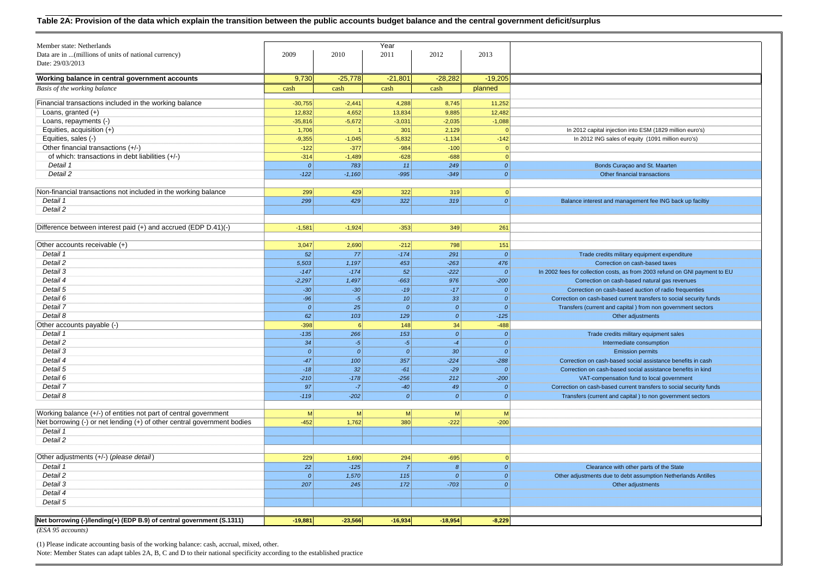| Member state: Netherlands                                               |                |               | Year             |                  |                            |                                                                                                                              |
|-------------------------------------------------------------------------|----------------|---------------|------------------|------------------|----------------------------|------------------------------------------------------------------------------------------------------------------------------|
| Data are in  (millions of units of national currency)                   | 2009           | 2010          | 2011             | 2012             | 2013                       |                                                                                                                              |
| Date: 29/03/2013                                                        |                |               |                  |                  |                            |                                                                                                                              |
|                                                                         |                |               |                  |                  |                            |                                                                                                                              |
| Working balance in central government accounts                          | 9,730          | $-25,778$     | $-21,801$        | $-28,282$        | $-19,205$                  |                                                                                                                              |
| Basis of the working balance                                            | cash           | cash          | cash             | cash             | planned                    |                                                                                                                              |
| Financial transactions included in the working balance                  | $-30,755$      | $-2,441$      | 4,288            | 8,745            | 11,252                     |                                                                                                                              |
| Loans, granted $(+)$                                                    | 12,832         | 4,652         | 13,834           | 9,885            | 12,482                     |                                                                                                                              |
| Loans, repayments (-)                                                   | $-35,816$      | $-5,672$      | $-3,031$         | $-2,035$         | $-1,088$                   |                                                                                                                              |
| Equities, acquisition $(+)$                                             | 1,706          |               | 301              | 2,129            | $\sqrt{ }$                 | In 2012 capital injection into ESM (1829 million euro's)                                                                     |
| Equities, sales (-)                                                     | $-9,355$       | $-1,045$      | $-5,832$         | $-1,134$         | $-142$                     | In 2012 ING sales of equity (1091 million euro's)                                                                            |
| Other financial transactions (+/-)                                      | $-122$         | $-377$        | $-984$           | $-100$           | $\overline{0}$             |                                                                                                                              |
| of which: transactions in debt liabilities (+/-)                        | $-314$         | $-1,489$      | $-628$           | $-688$           | $\overline{0}$             |                                                                                                                              |
| Detail 1                                                                | 0              | 783           | 11               | 249              | 0                          | Bonds Curaçao and St. Maarten                                                                                                |
| Detail 2                                                                | $-122$         | $-1,160$      | $-995$           | $-349$           | 0                          | Other financial transactions                                                                                                 |
| Non-financial transactions not included in the working balance          | 299            | 429           | 322              | 319              | $\mathbf{0}$               |                                                                                                                              |
| Detail 1                                                                | 299            | 429           | 322              | 319              | 0                          | Balance interest and management fee ING back up faciltiy                                                                     |
| Detail 2                                                                |                |               |                  |                  |                            |                                                                                                                              |
|                                                                         |                |               |                  |                  |                            |                                                                                                                              |
| Difference between interest paid (+) and accrued (EDP D.41)(-)          | $-1,581$       | $-1,924$      | $-353$           | 349              | 261                        |                                                                                                                              |
|                                                                         |                |               |                  |                  |                            |                                                                                                                              |
| Other accounts receivable (+)                                           | 3,047          | 2,690         | $-212$           | 798              | 151                        |                                                                                                                              |
| Detail 1                                                                | 52             | 77            | $-174$           | 291              | $\mathcal{O}$              | Trade credits military equipment expenditure                                                                                 |
| Detail 2                                                                | 5,503          | 1,197         | 453              | $-263$           | 476                        | Correction on cash-based taxes                                                                                               |
| Detail 3                                                                | $-147$         | $-174$        | 52               | $-222$           | 0                          | In 2002 fees for collection costs, as from 2003 refund on GNI payment to EU                                                  |
| Detail 4<br>Detail 5                                                    | $-2,297$       | 1,497         | $-663$<br>$-19$  | 976<br>$-17$     | $-200$<br>$\boldsymbol{o}$ | Correction on cash-based natural gas revenues                                                                                |
| Detail 6                                                                | $-30$<br>$-96$ | $-30$<br>$-5$ | 10               | 33               | $\boldsymbol{o}$           | Correction on cash-based auction of radio frequenties<br>Correction on cash-based current transfers to social security funds |
| Detail 7                                                                | 0              | 25            | $\boldsymbol{o}$ | $\boldsymbol{o}$ | $\mathcal{O}$              |                                                                                                                              |
| Detail 8                                                                | 62             | 103           | 129              | $\mathcal{O}$    | $-125$                     | Transfers (current and capital ) from non government sectors<br>Other adjustments                                            |
| Other accounts payable (-)                                              | $-398$         | 6             | 148              | 34               | $-488$                     |                                                                                                                              |
| Detail 1                                                                | $-135$         | 266           | 153              | 0                | $\mathcal{O}$              | Trade credits military equipment sales                                                                                       |
| Detail 2                                                                | 34             | $-5$          | $-5$             | $-4$             | $\mathcal{O}$              | Intermediate consumption                                                                                                     |
| Detail 3                                                                | 0              | 0             | 0                | 30               | 0                          | <b>Emission permits</b>                                                                                                      |
| Detail 4                                                                | $-47$          | 100           | 357              | $-224$           | $-288$                     | Correction on cash-based social assistance benefits in cash                                                                  |
| Detail 5                                                                | $-18$          | 32            | $-61$            | $-29$            | $\mathcal{O}$              | Correction on cash-based social assistance benefits in kind                                                                  |
| Detail 6                                                                | $-210$         | $-178$        | $-256$           | 212              | $-200$                     | VAT-compensation fund to local government                                                                                    |
| Detail 7                                                                | 97             | $-7$          | $-40$            | 49               | $\mathcal{O}$              | Correction on cash-based current transfers to social security funds                                                          |
| Detail 8                                                                | $-119$         | $-202$        | 0                | o                | $\boldsymbol{o}$           | Transfers (current and capital) to non government sectors                                                                    |
|                                                                         |                |               |                  |                  |                            |                                                                                                                              |
| Working balance (+/-) of entities not part of central government        | M              | M             | M                | M                | M                          |                                                                                                                              |
| Net borrowing (-) or net lending (+) of other central government bodies | $-452$         | 1,762         | 380              | $-222$           | $-200$                     |                                                                                                                              |
| Detail 1                                                                |                |               |                  |                  |                            |                                                                                                                              |
| Detail 2                                                                |                |               |                  |                  |                            |                                                                                                                              |
| Other adjustments (+/-) (please detail)                                 | 229            | 1,690         | 294              | $-695$           | $\mathbf{0}$               |                                                                                                                              |
| Detail 1                                                                | 22             | $-125$        | $\overline{7}$   | $\boldsymbol{8}$ | 0                          | Clearance with other parts of the State                                                                                      |
| Detail 2                                                                | 0              | 1,570         | 115              | 0                | 0                          | Other adjustments due to debt assumption Netherlands Antilles                                                                |
| Detail 3                                                                | 207            | 245           | 172              | $-703$           | 0                          | Other adjustments                                                                                                            |
| Detail 4                                                                |                |               |                  |                  |                            |                                                                                                                              |
| Detail 5                                                                |                |               |                  |                  |                            |                                                                                                                              |
|                                                                         |                |               |                  |                  |                            |                                                                                                                              |
| Net borrowing (-)/lending(+) (EDP B.9) of central government (S.1311)   | $-19,881$      | $-23,566$     | $-16,934$        | $-18,954$        | $-8,229$                   |                                                                                                                              |
| (ESA 95 accounts)                                                       |                |               |                  |                  |                            |                                                                                                                              |

(1) Please indicate accounting basis of the working balance: cash, accrual, mixed, other. Note: Member States can adapt tables 2A, B, C and D to their national specificity according to the established practice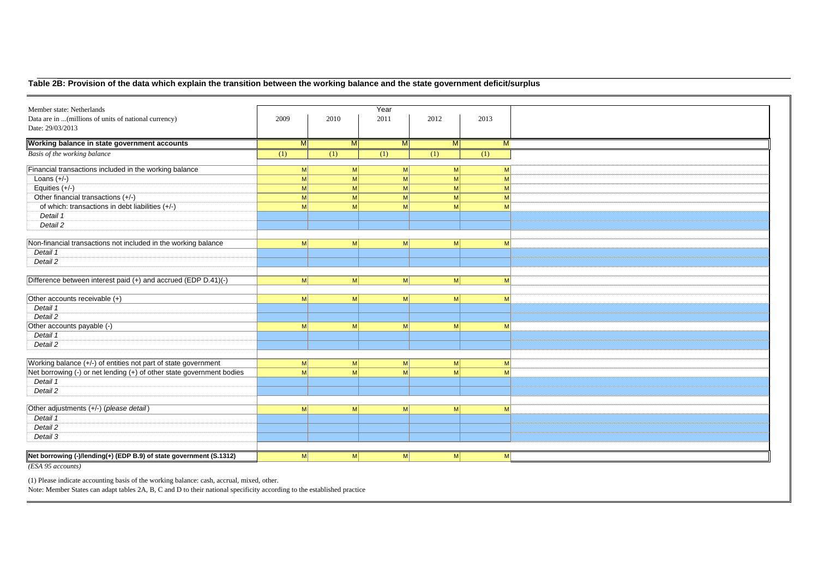#### **Table 2B: Provision of the data which explain the transition between the working balance and the state government deficit/surplus**

| Member state: Netherlands                                             |                |                | Year            |                  |              |
|-----------------------------------------------------------------------|----------------|----------------|-----------------|------------------|--------------|
| Data are in  (millions of units of national currency)                 | 2009           | 2010           | 2011            | 2012             | 2013         |
| Date: 29/03/2013                                                      |                |                |                 |                  |              |
| Working balance in state government accounts                          | M              | M              | M               | $\overline{M}$   | M            |
| Basis of the working balance                                          | (1)            | (1)            | (1)             | $\overline{(1)}$ | (1)          |
| Financial transactions included in the working balance                | M              | M              | M               | M                | M            |
| Loans $(+/-)$                                                         | M              | M              | $\vert M \vert$ | M                | M            |
| Equities $(+/-)$                                                      | M              | M <sup>2</sup> | $\vert M \vert$ | M                | M            |
| Other financial transactions (+/-)                                    | M              | <sub>M</sub>   | $\vert M \vert$ | $\mathsf{M}$     | M            |
| of which: transactions in debt liabilities (+/-)                      | M              | M              | $\mathsf{M}$    | M                | $\mathsf{M}$ |
| Detail 1                                                              |                |                |                 |                  |              |
| Detail 2                                                              |                |                |                 |                  |              |
|                                                                       |                |                |                 |                  |              |
| Non-financial transactions not included in the working balance        | M              | M              | $\vert M \vert$ | M                | M            |
| Detail 1                                                              |                |                |                 |                  |              |
| Detail 2                                                              |                |                |                 |                  |              |
|                                                                       |                |                |                 |                  |              |
| Difference between interest paid (+) and accrued (EDP D.41)(-)        | M              | M              | $\mathsf{M}$    | M                | M            |
|                                                                       |                |                |                 |                  |              |
| Other accounts receivable (+)                                         | <sub>M</sub>   | M              | M               | M                | M            |
| Detail 1                                                              |                |                |                 |                  |              |
| Detail 2                                                              |                |                |                 |                  |              |
| Other accounts payable (-)                                            | M              | M              | M               | $\vert M \vert$  | M            |
| Detail 1                                                              |                |                |                 |                  |              |
| Detail 2                                                              |                |                |                 |                  |              |
|                                                                       |                |                |                 |                  |              |
| Working balance (+/-) of entities not part of state government        | -M             | M              | $\mathsf{M}$    | M                | M            |
| Net borrowing (-) or net lending (+) of other state government bodies | M              | M              | $\mathsf{M}$    | M                | $\mathsf{M}$ |
| Detail 1                                                              |                |                |                 |                  |              |
| Detail 2                                                              |                |                |                 |                  |              |
|                                                                       |                |                |                 |                  |              |
| Other adjustments (+/-) (please detail)                               | M <sup>2</sup> | M              | M               | M                | M            |
| Detail 1                                                              |                |                |                 |                  |              |
| Detail 2                                                              |                |                |                 |                  |              |
| Detail 3                                                              |                |                |                 |                  |              |
|                                                                       |                |                |                 |                  |              |
| Net borrowing (-)/lending(+) (EDP B.9) of state government (S.1312)   | M              | M              | M               | M                | M            |
|                                                                       |                |                |                 |                  |              |
| (ESA 95 accounts)                                                     |                |                |                 |                  |              |

(1) Please indicate accounting basis of the working balance: cash, accrual, mixed, other. Note: Member States can adapt tables 2A, B, C and D to their national specificity according to the established practice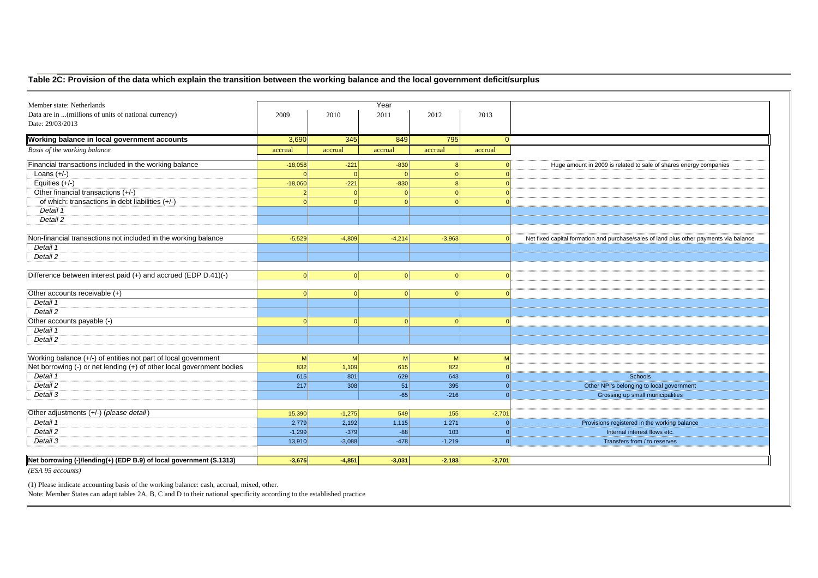#### **Table 2C: Provision of the data which explain the transition between the working balance and the local government deficit/surplus**

| Member state: Netherlands                                             |                |          | Year            |                |          |                                                                                        |
|-----------------------------------------------------------------------|----------------|----------|-----------------|----------------|----------|----------------------------------------------------------------------------------------|
| Data are in  (millions of units of national currency)                 | 2009           | 2010     | 2011            | 2012           | 2013     |                                                                                        |
| Date: 29/03/2013                                                      |                |          |                 |                |          |                                                                                        |
|                                                                       |                |          |                 |                |          |                                                                                        |
| Working balance in local government accounts                          | 3,690          | 345      | 849             | 795            | $\Omega$ |                                                                                        |
| Basis of the working balance                                          | accrual        | accrual  | accrual         | accrual        | accrual  |                                                                                        |
| Financial transactions included in the working balance                | $-18,058$      | $-221$   | $-830$          | 8              |          | Huge amount in 2009 is related to sale of shares energy companies                      |
| Loans $(+/-)$                                                         | $\Omega$       | $\Omega$ | $\Omega$        | 0              |          |                                                                                        |
| Equities $(+/-)$                                                      | $-18,060$      | $-221$   | $-830$          | 8              |          |                                                                                        |
| Other financial transactions (+/-)                                    | 2              | 0        | $\Omega$        | 0              |          |                                                                                        |
| of which: transactions in debt liabilities (+/-)                      |                | 0        | $\Omega$        | $\Omega$       |          |                                                                                        |
| Detail 1                                                              |                |          |                 |                |          |                                                                                        |
| Detail 2                                                              |                |          |                 |                |          |                                                                                        |
|                                                                       |                |          |                 |                |          |                                                                                        |
| Non-financial transactions not included in the working balance        | $-5,529$       | $-4,809$ | $-4,214$        | $-3,963$       |          | Net fixed capital formation and purchase/sales of land plus other payments via balance |
| Detail 1                                                              |                |          |                 |                |          |                                                                                        |
| Detail 2                                                              |                |          |                 |                |          |                                                                                        |
|                                                                       |                |          |                 |                |          |                                                                                        |
| Difference between interest paid (+) and accrued (EDP D.41)(-)        | 0              | 0        | 0               | 0              | $\Omega$ |                                                                                        |
|                                                                       |                |          |                 |                |          |                                                                                        |
| Other accounts receivable (+)                                         | $\Omega$       | 0        | 0               | 0              |          |                                                                                        |
| Detail 1                                                              |                |          |                 |                |          |                                                                                        |
| Detail 2                                                              |                |          |                 |                |          |                                                                                        |
| Other accounts payable (-)                                            | $\Omega$       | 0        | 0               | 0              |          |                                                                                        |
| Detail 1                                                              |                |          |                 |                |          |                                                                                        |
| Detail 2                                                              |                |          |                 |                |          |                                                                                        |
|                                                                       |                |          |                 |                |          |                                                                                        |
| Working balance (+/-) of entities not part of local government        | M <sup>2</sup> | M        | $\vert M \vert$ | M <sup>2</sup> | M        |                                                                                        |
| Net borrowing (-) or net lending (+) of other local government bodies | 832            | 1,109    | 615             | 822            |          |                                                                                        |
| Detail 1                                                              | 615            | 801      | 629             | 643            | $\Omega$ | <b>Schools</b>                                                                         |
| Detail 2                                                              | 217            | 308      | 51              | 395            | $\Omega$ | Other NPI's belonging to local government                                              |
| Detail 3                                                              |                |          | $-65$           | $-216$         | $\Omega$ | Grossing up small municipalities                                                       |
|                                                                       |                |          |                 |                |          |                                                                                        |
| Other adjustments (+/-) (please detail)                               | 15,390         | $-1,275$ | 549             | 155            | $-2,701$ |                                                                                        |
| Detail 1                                                              | 2,779          | 2,192    | 1,115           | 1,271          | $\Omega$ | Provisions registered in the working balance                                           |
| Detail 2                                                              | $-1,299$       | $-379$   | $-88$           | 103            | $\Omega$ | Internal interest flows etc.                                                           |
| Detail 3                                                              | 13,910         | $-3,088$ | $-478$          | $-1,219$       | 0        | Transfers from / to reserves                                                           |
|                                                                       |                |          |                 |                |          |                                                                                        |
| Net borrowing (-)/lending(+) (EDP B.9) of local government (S.1313)   | $-3,675$       | $-4,851$ | $-3,031$        | $-2,183$       | $-2,701$ |                                                                                        |
|                                                                       |                |          |                 |                |          |                                                                                        |

*(ESA 95 accounts)*

(1) Please indicate accounting basis of the working balance: cash, accrual, mixed, other. Note: Member States can adapt tables 2A, B, C and D to their national specificity according to the established practice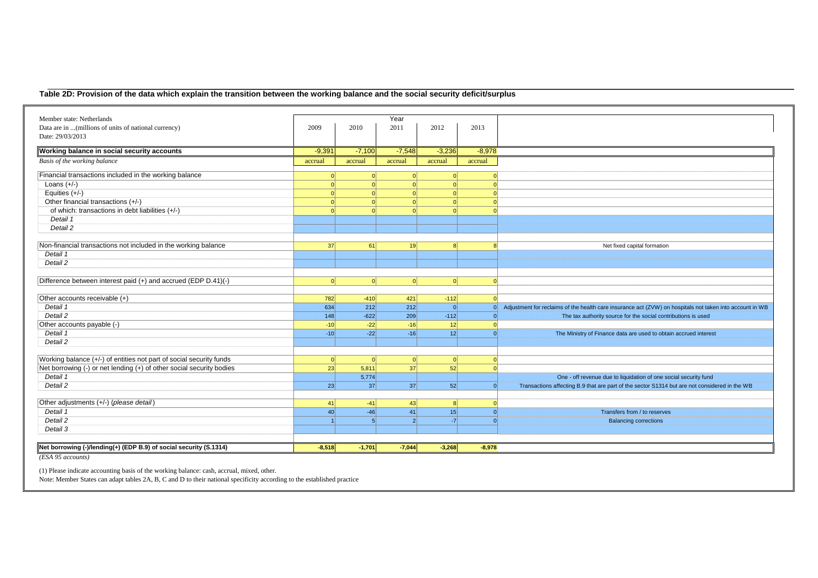#### **Table 2D: Provision of the data which explain the transition between the working balance and the social security deficit/surplus**

| Member state: Netherlands                                            |          |          | Year            |                 |          |                                                                                                          |
|----------------------------------------------------------------------|----------|----------|-----------------|-----------------|----------|----------------------------------------------------------------------------------------------------------|
| Data are in  (millions of units of national currency)                | 2009     | 2010     | 2011            | 2012            | 2013     |                                                                                                          |
| Date: 29/03/2013                                                     |          |          |                 |                 |          |                                                                                                          |
| Working balance in social security accounts                          | $-9,391$ | $-7,100$ | $-7,548$        | $-3,236$        | $-8,978$ |                                                                                                          |
|                                                                      |          |          |                 |                 |          |                                                                                                          |
| Basis of the working balance                                         | accrual  | accrual  | accrual         | accrual         | accrual  |                                                                                                          |
| Financial transactions included in the working balance               |          | $\Omega$ | $\Omega$        | $\Omega$        |          |                                                                                                          |
| Loans $(+/-)$                                                        | $\Omega$ | C        | $\Omega$        |                 |          |                                                                                                          |
| Equities $(+/-)$                                                     |          |          |                 |                 |          |                                                                                                          |
| Other financial transactions (+/-)                                   |          |          |                 |                 |          |                                                                                                          |
| of which: transactions in debt liabilities (+/-)                     |          |          |                 |                 |          |                                                                                                          |
| Detail 1                                                             |          |          |                 |                 |          |                                                                                                          |
| Detail 2                                                             |          |          |                 |                 |          |                                                                                                          |
|                                                                      |          |          |                 |                 |          |                                                                                                          |
| Non-financial transactions not included in the working balance       | 37       | 61       | 19 <sup>1</sup> |                 |          | Net fixed capital formation                                                                              |
| Detail 1                                                             |          |          |                 |                 |          |                                                                                                          |
| Detail 2                                                             |          |          |                 |                 |          |                                                                                                          |
|                                                                      |          |          |                 |                 |          |                                                                                                          |
| Difference between interest paid (+) and accrued (EDP D.41)(-)       | $\Omega$ | $\Omega$ | 0               | 0               |          |                                                                                                          |
|                                                                      |          |          |                 |                 |          |                                                                                                          |
| Other accounts receivable (+)                                        | 782      | $-410$   | 421             | $-112$          |          |                                                                                                          |
| Detail 1                                                             | 634      | 212      | 212             | $\Omega$        | 0        | Adjustment for reclaims of the health care insurance act (ZVW) on hospitals not taken into account in WB |
| Detail 2                                                             | 148      | $-622$   | 209             | $-112$          | $\Omega$ | The tax authority source for the social contributions is used                                            |
| Other accounts payable (-)                                           | $-10$    | $-22$    | $-16$           | 12              |          |                                                                                                          |
| Detail 1                                                             | $-10$    | $-22$    | $-16$           | 12              | $\Omega$ | The Ministry of Finance data are used to obtain accrued interest                                         |
| Detail 2                                                             |          |          |                 |                 |          |                                                                                                          |
|                                                                      |          |          |                 |                 |          |                                                                                                          |
| Working balance (+/-) of entities not part of social security funds  | $\Omega$ | $\Omega$ | 0               | 0               |          |                                                                                                          |
| Net borrowing (-) or net lending (+) of other social security bodies | 23       | 5,811    | 37              | 52              |          |                                                                                                          |
| Detail 1                                                             |          | 5,774    |                 |                 |          | One - off revenue due to liquidation of one social security fund                                         |
| Detail 2                                                             | 23       | 37       | 37              | 52              | $\Omega$ | Transactions affecting B.9 that are part of the sector S1314 but are not considered in the WB            |
|                                                                      |          |          |                 |                 |          |                                                                                                          |
| Other adjustments (+/-) (please detail)                              | 41       | $-41$    | 43              | 8               |          |                                                                                                          |
| Detail 1                                                             | 40       | $-46$    | 41              | 15 <sup>1</sup> | $\Omega$ | Transfers from / to reserves                                                                             |
| Detail 2                                                             |          | 5        | $\overline{2}$  | $-7$            |          | <b>Balancing corrections</b>                                                                             |
| Detail 3                                                             |          |          |                 |                 |          |                                                                                                          |
|                                                                      |          |          |                 |                 |          |                                                                                                          |
| Net borrowing (-)/lending(+) (EDP B.9) of social security (S.1314)   | $-8,518$ | $-1.701$ | $-7,044$        | $-3,268$        | $-8.978$ |                                                                                                          |
|                                                                      |          |          |                 |                 |          |                                                                                                          |

*(ESA 95 accounts)*

(1) Please indicate accounting basis of the working balance: cash, accrual, mixed, other.

Note: Member States can adapt tables 2A, B, C and D to their national specificity according to the established practice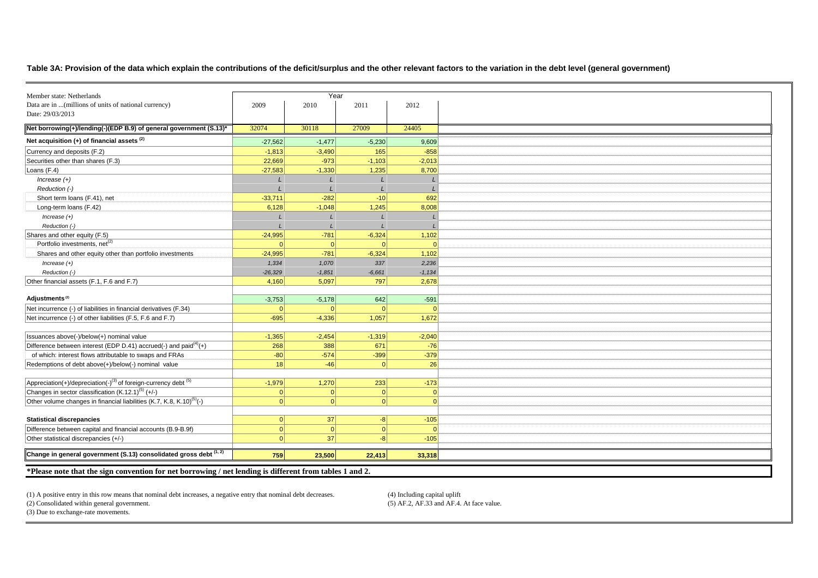#### **Table 3A: Provision of the data which explain the contributions of the deficit/surplus and the other relevant factors to the variation in the debt level (general government)**

| Member state: Netherlands<br>Data are in  (millions of units of national currency)     | 2009      | Year<br>2010 | 2011     | 2012     |
|----------------------------------------------------------------------------------------|-----------|--------------|----------|----------|
| Date: 29/03/2013                                                                       |           |              |          |          |
|                                                                                        |           |              |          |          |
| Net borrowing(+)/lending(-)(EDP B.9) of general government (S.13)*                     | 32074     | 30118        | 27009    | 24405    |
| Net acquisition $(+)$ of financial assets $(2)$                                        | $-27,562$ | $-1,477$     | $-5,230$ | 9,609    |
| Currency and deposits (F.2)                                                            | $-1,813$  | $-3,490$     | 165      | $-858$   |
| Securities other than shares (F.3)                                                     | 22,669    | $-973$       | $-1,103$ | $-2,013$ |
| Loans (F.4)                                                                            | $-27,583$ | $-1,330$     | 1,235    | 8,700    |
| $Increase (+)$                                                                         |           |              |          |          |
| Reduction (-)                                                                          |           |              |          |          |
| Short term loans (F.41), net                                                           | $-33,711$ | $-282$       | $-10$    | 692      |
| Long-term loans (F.42)                                                                 | 6,128     | $-1,048$     | 1,245    | 8,008    |
| $Increase (+)$                                                                         |           |              |          |          |
| Reduction (-)                                                                          |           |              |          |          |
| Shares and other equity (F.5)                                                          | $-24,995$ | $-781$       | $-6,324$ | 1,102    |
| Portfolio investments, net <sup>(2)</sup>                                              | $\cap$    | $\Omega$     |          | $\Omega$ |
| Shares and other equity other than portfolio investments                               | $-24,995$ | $-781$       | $-6,324$ | 1,102    |
| Increase $(+)$                                                                         | 1,334     | 1,070        | 337      | 2,236    |
| Reduction (-)                                                                          | $-26,329$ | $-1,851$     | $-6,661$ | $-1,134$ |
| Other financial assets (F.1, F.6 and F.7)                                              | 4,160     | 5,097        | 797      | 2,678    |
|                                                                                        |           |              |          |          |
| Adjustments <sup>(2)</sup>                                                             | $-3,753$  | $-5,178$     | 642      | $-591$   |
| Net incurrence (-) of liabilities in financial derivatives (F.34)                      |           | $\Omega$     |          |          |
| Net incurrence (-) of other liabilities (F.5, F.6 and F.7)                             | $-695$    | $-4,336$     | 1,057    | 1,672    |
|                                                                                        |           |              |          |          |
| Issuances above(-)/below(+) nominal value                                              | $-1,365$  | $-2,454$     | $-1,319$ | $-2,040$ |
| Difference between interest (EDP D.41) accrued(-) and paid $(4)$ (+)                   | 268       | 388          | 671      | $-76$    |
| of which: interest flows attributable to swaps and FRAs                                | $-80$     | $-574$       | $-399$   | $-379$   |
| Redemptions of debt above(+)/below(-) nominal value                                    | 18        | $-46$        | $\Omega$ | 26       |
|                                                                                        |           |              |          |          |
| Appreciation(+)/depreciation(-) <sup>(3)</sup> of foreign-currency debt <sup>(5)</sup> | $-1,979$  | 1,270        | 233      | $-173$   |
| Changes in sector classification (K.12.1) <sup>(5)</sup> (+/-)                         | $\Omega$  | 0            | 0        | $\Omega$ |
| Other volume changes in financial liabilities (K.7, K.8, K.10) <sup>(5)</sup> (-)      | $\Omega$  | $\Omega$     | $\Omega$ | $\Omega$ |
|                                                                                        |           |              |          |          |
| <b>Statistical discrepancies</b>                                                       | 0         | 37           | $-8$     | $-105$   |
| Difference between capital and financial accounts (B.9-B.9f)                           | $\Omega$  | $\Omega$     |          |          |
| Other statistical discrepancies (+/-)                                                  | $\Omega$  | 37           | -81      | $-105$   |
|                                                                                        |           |              |          |          |
|                                                                                        |           |              |          | 33,318   |
| Change in general government (S.13) consolidated gross debt (1, 2)                     | 759       | 23,500       | 22,413   |          |

(1) A positive entry in this row means that nominal debt increases, a negative entry that nominal debt decreases. (4) Including capital uplift

 $(5)$  AF.2, AF.33 and AF.4. At face value.

(2) Consolidated within general government.(3) Due to exchange-rate movements.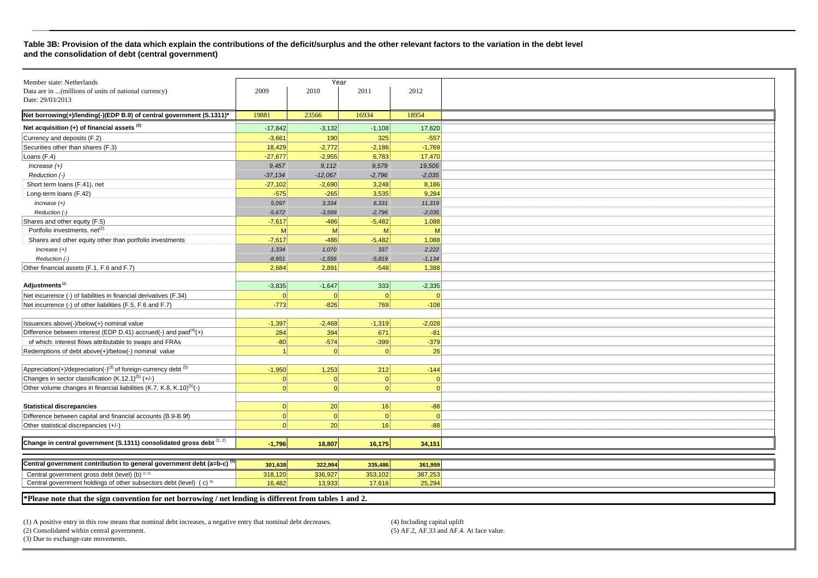#### **Table 3B: Provision of the data which explain the contributions of the deficit/surplus and the other relevant factors to the variation in the debt level and the consolidation of debt (central government)**

|                                                                                                        |                                                                                                                                                                                                                                                    |                                                                                                                                                                                                                                                                                | 2012                                                                                                                                                                                                                                                            |
|--------------------------------------------------------------------------------------------------------|----------------------------------------------------------------------------------------------------------------------------------------------------------------------------------------------------------------------------------------------------|--------------------------------------------------------------------------------------------------------------------------------------------------------------------------------------------------------------------------------------------------------------------------------|-----------------------------------------------------------------------------------------------------------------------------------------------------------------------------------------------------------------------------------------------------------------|
|                                                                                                        |                                                                                                                                                                                                                                                    |                                                                                                                                                                                                                                                                                |                                                                                                                                                                                                                                                                 |
|                                                                                                        |                                                                                                                                                                                                                                                    |                                                                                                                                                                                                                                                                                |                                                                                                                                                                                                                                                                 |
| 19881                                                                                                  | 23566                                                                                                                                                                                                                                              | 16934                                                                                                                                                                                                                                                                          | 18954                                                                                                                                                                                                                                                           |
| $-17,842$                                                                                              | $-3,132$                                                                                                                                                                                                                                           |                                                                                                                                                                                                                                                                                | 17,620                                                                                                                                                                                                                                                          |
| $-3,661$                                                                                               | 190                                                                                                                                                                                                                                                | 325                                                                                                                                                                                                                                                                            | $-557$                                                                                                                                                                                                                                                          |
| 18,429                                                                                                 | $-2,772$                                                                                                                                                                                                                                           | $-2,186$                                                                                                                                                                                                                                                                       | $-1,769$                                                                                                                                                                                                                                                        |
|                                                                                                        |                                                                                                                                                                                                                                                    | 6,783                                                                                                                                                                                                                                                                          | 17,470                                                                                                                                                                                                                                                          |
|                                                                                                        |                                                                                                                                                                                                                                                    |                                                                                                                                                                                                                                                                                | 19,505                                                                                                                                                                                                                                                          |
|                                                                                                        |                                                                                                                                                                                                                                                    |                                                                                                                                                                                                                                                                                | $-2,035$                                                                                                                                                                                                                                                        |
| $-27,102$                                                                                              | $-2,690$                                                                                                                                                                                                                                           | 3,248                                                                                                                                                                                                                                                                          | 8,186                                                                                                                                                                                                                                                           |
|                                                                                                        |                                                                                                                                                                                                                                                    |                                                                                                                                                                                                                                                                                | 9,284                                                                                                                                                                                                                                                           |
|                                                                                                        |                                                                                                                                                                                                                                                    |                                                                                                                                                                                                                                                                                | 11,319                                                                                                                                                                                                                                                          |
|                                                                                                        |                                                                                                                                                                                                                                                    |                                                                                                                                                                                                                                                                                | $-2,035$                                                                                                                                                                                                                                                        |
|                                                                                                        |                                                                                                                                                                                                                                                    |                                                                                                                                                                                                                                                                                | 1,088                                                                                                                                                                                                                                                           |
|                                                                                                        |                                                                                                                                                                                                                                                    |                                                                                                                                                                                                                                                                                | M                                                                                                                                                                                                                                                               |
|                                                                                                        |                                                                                                                                                                                                                                                    |                                                                                                                                                                                                                                                                                | 1,088                                                                                                                                                                                                                                                           |
|                                                                                                        |                                                                                                                                                                                                                                                    |                                                                                                                                                                                                                                                                                | 2,222                                                                                                                                                                                                                                                           |
|                                                                                                        |                                                                                                                                                                                                                                                    |                                                                                                                                                                                                                                                                                | $-1,134$                                                                                                                                                                                                                                                        |
|                                                                                                        |                                                                                                                                                                                                                                                    |                                                                                                                                                                                                                                                                                | 1,388                                                                                                                                                                                                                                                           |
|                                                                                                        |                                                                                                                                                                                                                                                    |                                                                                                                                                                                                                                                                                |                                                                                                                                                                                                                                                                 |
|                                                                                                        |                                                                                                                                                                                                                                                    |                                                                                                                                                                                                                                                                                | $-2,335$                                                                                                                                                                                                                                                        |
|                                                                                                        |                                                                                                                                                                                                                                                    |                                                                                                                                                                                                                                                                                |                                                                                                                                                                                                                                                                 |
|                                                                                                        |                                                                                                                                                                                                                                                    |                                                                                                                                                                                                                                                                                | $-108$                                                                                                                                                                                                                                                          |
|                                                                                                        |                                                                                                                                                                                                                                                    |                                                                                                                                                                                                                                                                                |                                                                                                                                                                                                                                                                 |
|                                                                                                        |                                                                                                                                                                                                                                                    |                                                                                                                                                                                                                                                                                | $-2,028$                                                                                                                                                                                                                                                        |
|                                                                                                        |                                                                                                                                                                                                                                                    |                                                                                                                                                                                                                                                                                | $-81$                                                                                                                                                                                                                                                           |
|                                                                                                        |                                                                                                                                                                                                                                                    |                                                                                                                                                                                                                                                                                | $-379$                                                                                                                                                                                                                                                          |
|                                                                                                        | $\Omega$                                                                                                                                                                                                                                           | $\Omega$                                                                                                                                                                                                                                                                       | 26                                                                                                                                                                                                                                                              |
|                                                                                                        |                                                                                                                                                                                                                                                    |                                                                                                                                                                                                                                                                                |                                                                                                                                                                                                                                                                 |
|                                                                                                        |                                                                                                                                                                                                                                                    |                                                                                                                                                                                                                                                                                | $-144$                                                                                                                                                                                                                                                          |
| $\Omega$                                                                                               | $\Omega$                                                                                                                                                                                                                                           | $\Omega$                                                                                                                                                                                                                                                                       | $\mathbf{0}$                                                                                                                                                                                                                                                    |
| 0                                                                                                      |                                                                                                                                                                                                                                                    | 0                                                                                                                                                                                                                                                                              | $\Omega$                                                                                                                                                                                                                                                        |
|                                                                                                        |                                                                                                                                                                                                                                                    |                                                                                                                                                                                                                                                                                |                                                                                                                                                                                                                                                                 |
| 0                                                                                                      |                                                                                                                                                                                                                                                    |                                                                                                                                                                                                                                                                                | $-88$                                                                                                                                                                                                                                                           |
| $\Omega$                                                                                               |                                                                                                                                                                                                                                                    | $\Omega$                                                                                                                                                                                                                                                                       | $\Omega$                                                                                                                                                                                                                                                        |
| $\Omega$                                                                                               |                                                                                                                                                                                                                                                    |                                                                                                                                                                                                                                                                                | $-88$                                                                                                                                                                                                                                                           |
|                                                                                                        |                                                                                                                                                                                                                                                    |                                                                                                                                                                                                                                                                                |                                                                                                                                                                                                                                                                 |
|                                                                                                        |                                                                                                                                                                                                                                                    |                                                                                                                                                                                                                                                                                | 34,151                                                                                                                                                                                                                                                          |
|                                                                                                        |                                                                                                                                                                                                                                                    |                                                                                                                                                                                                                                                                                |                                                                                                                                                                                                                                                                 |
|                                                                                                        |                                                                                                                                                                                                                                                    |                                                                                                                                                                                                                                                                                | 361,959                                                                                                                                                                                                                                                         |
|                                                                                                        |                                                                                                                                                                                                                                                    |                                                                                                                                                                                                                                                                                | 387,253                                                                                                                                                                                                                                                         |
|                                                                                                        |                                                                                                                                                                                                                                                    |                                                                                                                                                                                                                                                                                | 25.294                                                                                                                                                                                                                                                          |
| *Dissex note that the sign convention for not homeoning (not londing is different from tobles 1 and 2) |                                                                                                                                                                                                                                                    |                                                                                                                                                                                                                                                                                |                                                                                                                                                                                                                                                                 |
|                                                                                                        | 2009<br>$-27,677$<br>9,457<br>$-37,134$<br>$-575$<br>5,097<br>$-5.672$<br>$-7,617$<br>M<br>$-7,617$<br>1,334<br>$-8,951$<br>2,684<br>$-3,835$<br> 0 <br>$-773$<br>$-1,397$<br>284<br>$-80$<br>$-1,950$<br>$-1,796$<br>301,638<br>318,120<br>16,482 | 2010<br>$-2,955$<br>9,112<br>$-12,067$<br>$-265$<br>3,334<br>$-3,599$<br>$-486$<br>M<br>$-486$<br>1,070<br>$-1,556$<br>2,891<br>$-1,647$<br>$\overline{0}$<br>$-826$<br>$-2,468$<br>394<br>$-574$<br>1,253<br> 0 <br>20<br> 0 <br>20<br>18,807<br>322,994<br>336,927<br>13,933 | Year<br>2011<br>$-1,108$<br>9,579<br>$-2,796$<br>3,535<br>6,331<br>$-2,796$<br>$-5,482$<br>M<br>$-5,482$<br>337<br>$-5,819$<br>$-548$<br>333<br>$\overline{0}$<br>769<br>$-1,319$<br>671<br>$-399$<br>212<br>16<br>16<br>16,175<br>335,486<br>353,102<br>17,616 |

**\*Please note that the sign convention for net borrowing / net lending is different from tables 1 and 2.** 

(1) A positive entry in this row means that nominal debt increases, a negative entry that nominal debt decreases. (4) Including capital uplift(2) Consolidated within central government.

 $(5)$  AF.2, AF.33 and AF.4. At face value.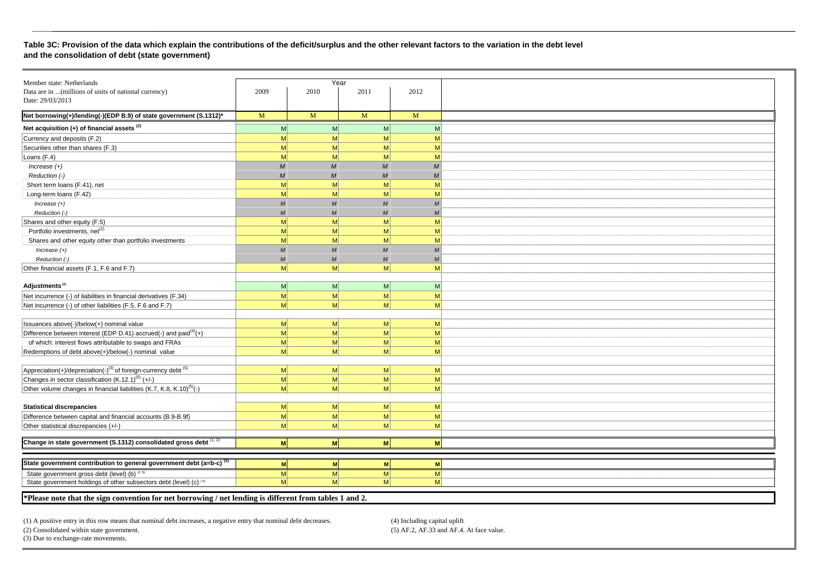#### **Table 3C: Provision of the data which explain the contributions of the deficit/surplus and the other relevant factors to the variation in the debt level and the consolidation of debt (state government)**

| Member state: Netherlands                                                              |                  | Year                 |                  |                             |
|----------------------------------------------------------------------------------------|------------------|----------------------|------------------|-----------------------------|
| Data are in  (millions of units of national currency)                                  | 2009             | 2010                 | 2011             | 2012                        |
| Date: 29/03/2013                                                                       |                  |                      |                  |                             |
|                                                                                        |                  |                      |                  |                             |
| Net borrowing(+)/lending(-)(EDP B.9) of state government (S.1312)*                     | M                | M                    | M                | $\overline{M}$              |
| Net acquisition (+) of financial assets <sup>(2)</sup>                                 | M                | M <sup>2</sup>       | M <sub>l</sub>   | M                           |
| Currency and deposits (F.2)                                                            | M                | M                    | M                | M                           |
| Securities other than shares (F.3)                                                     | M                | M                    | M                | M                           |
| Loans (F.4)                                                                            | M                | M                    | M                | M                           |
| $Increase (+)$                                                                         | $\overline{M}$   | $\overline{M}$       | $\overline{M}$   | $\overline{M}$              |
| Reduction (-)                                                                          | M                | M                    | M                | M                           |
| Short term loans (F.41), net                                                           | M                | M                    | M                | M                           |
| Long-term loans (F.42)                                                                 | M                | M                    | M                | M                           |
| Increase $(+)$                                                                         | M                | M                    | M                | M                           |
| Reduction (-)                                                                          | $\overline{M}$   | M                    | $\overline{M}$   | M                           |
| Shares and other equity (F.5)                                                          | M                | M                    | M                | M                           |
| Portfolio investments, net <sup>(2)</sup>                                              | M                | M                    | M                | M                           |
| Shares and other equity other than portfolio investments                               | M                | M                    | M                | M                           |
| $Increase (+)$                                                                         | $\boldsymbol{M}$ | $\boldsymbol{M}$     | $\boldsymbol{M}$ | $\overline{M}$              |
| Reduction (-)                                                                          | M                | $\boldsymbol{M}$     | $\boldsymbol{M}$ | $\mathcal{M}_{\mathcal{A}}$ |
| Other financial assets (F.1, F.6 and F.7)                                              | M                | M                    | M                | M                           |
|                                                                                        |                  |                      |                  |                             |
| Adjustments <sup>(2)</sup>                                                             | M                | M                    | M                | M                           |
| Net incurrence (-) of liabilities in financial derivatives (F.34)                      | M                | M                    | M                | M                           |
| Net incurrence (-) of other liabilities (F.5, F.6 and F.7)                             | M                | M                    | M                | M                           |
|                                                                                        |                  |                      |                  |                             |
| Issuances above(-)/below(+) nominal value                                              | M                | M                    | M                | M                           |
| Difference between interest (EDP D.41) accrued(-) and paid $(4)$ (+)                   | M                | M                    | M                | M                           |
| of which: interest flows attributable to swaps and FRAs                                | M                | M                    | M                | M                           |
| Redemptions of debt above(+)/below(-) nominal value                                    | M                | $\mathsf{M}$         | M                | M                           |
|                                                                                        |                  |                      |                  |                             |
| Appreciation(+)/depreciation(-) <sup>(3)</sup> of foreign-currency debt <sup>(5)</sup> | M                | M                    | M                | M                           |
| Changes in sector classification (K.12.1) <sup>(5)</sup> (+/-)                         | M                | M                    | M                | M                           |
| Other volume changes in financial liabilities (K.7, K.8, K.10) <sup>(5)</sup> (-)      | M                | M                    | M                | M                           |
|                                                                                        |                  |                      |                  |                             |
| <b>Statistical discrepancies</b>                                                       | M                | $\mathsf{M}$         | M                | M                           |
| Difference between capital and financial accounts (B.9-B.9f)                           | M                | M                    | M                | M                           |
| Other statistical discrepancies (+/-)                                                  | M                | M                    | M                | M                           |
|                                                                                        |                  |                      |                  |                             |
| Change in state government (S.1312) consolidated gross debt $(1, 2)$                   | M                | M                    | M                | M                           |
|                                                                                        |                  |                      |                  |                             |
| State government contribution to general government debt (a=b-c) <sup>(5)</sup>        | M                | M                    | M                | M                           |
| State government gross debt (level) (b) (2, 5)                                         |                  |                      |                  |                             |
| State government holdings of other subsectors debt (level) (c) (5)                     | M<br>M           | M <br>M <sup>2</sup> | M<br>M           | M<br>M                      |
|                                                                                        |                  |                      |                  |                             |

**\*Please note that the sign convention for net borrowing / net lending is different from tables 1 and 2.** 

(1) A positive entry in this row means that nominal debt increases, a negative entry that nominal debt decreases. (4) Including capital uplift(2) Consolidated within state government.

 $(5)$  AF.2, AF.33 and AF.4. At face value.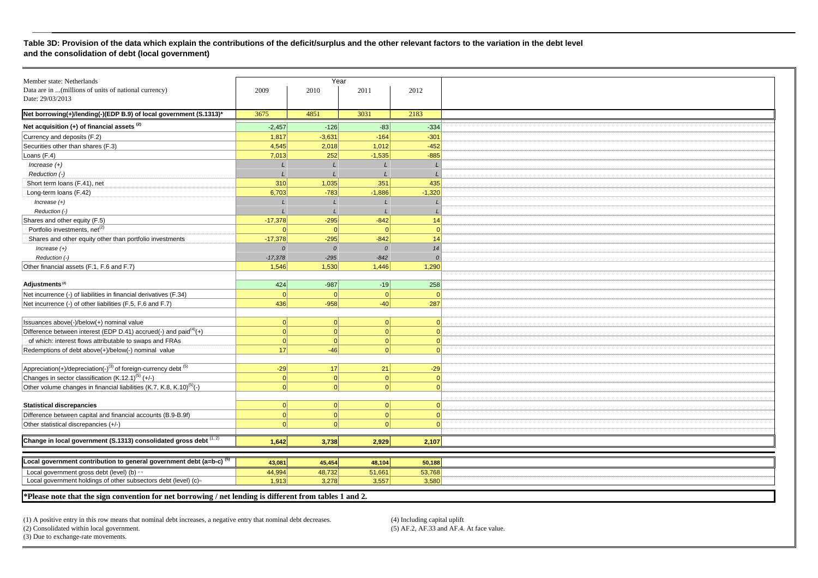#### **Table 3D: Provision of the data which explain the contributions of the deficit/surplus and the other relevant factors to the variation in the debt level and the consolidation of debt (local government)**

| Member state: Netherlands                                                                     |           | Year          |                |                |
|-----------------------------------------------------------------------------------------------|-----------|---------------|----------------|----------------|
| Data are in  (millions of units of national currency)                                         | 2009      | 2010          | 2011           | 2012           |
| Date: 29/03/2013                                                                              |           |               |                |                |
|                                                                                               |           |               |                |                |
| Net borrowing(+)/lending(-)(EDP B.9) of local government (S.1313)*                            | 3675      | 4851          | 3031           | 2183           |
| Net acquisition $(+)$ of financial assets $(2)$                                               | $-2,457$  | $-126$        | $-83$          | $-334$         |
| Currency and deposits (F.2)                                                                   | 1,817     | $-3,631$      | $-164$         | $-301$         |
| Securities other than shares (F.3)                                                            | 4,545     | 2,018         | 1,012          | $-452$         |
| Loans (F.4)                                                                                   | 7,013     | 252           | $-1,535$       | $-885$         |
| $Increase (+)$                                                                                |           |               |                |                |
| Reduction (-)                                                                                 |           |               |                |                |
| Short term loans (F.41), net                                                                  | 310       | 1,035         | 351            | 435            |
| Long-term loans (F.42)                                                                        | 6,703     | $-783$        | $-1,886$       | $-1,320$       |
| $Increase (+)$                                                                                |           | $\mathbf{I}$  |                |                |
| Reduction (-)                                                                                 |           |               |                |                |
| Shares and other equity (F.5)                                                                 | $-17,378$ | $-295$        | $-842$         | 14             |
| Portfolio investments, net <sup>(2)</sup>                                                     | $\Omega$  | $\Omega$      | $\Omega$       | $\Omega$       |
| Shares and other equity other than portfolio investments                                      | $-17,378$ | $-295$        | $-842$         | 14             |
| $Increase (+)$                                                                                | $\Omega$  | $\mathcal{O}$ | $\overline{0}$ | 14             |
| Reduction (-)                                                                                 | $-17,378$ | $-295$        | $-842$         | $\overline{0}$ |
| Other financial assets (F.1, F.6 and F.7)                                                     | 1,546     | 1,530         | 1,446          | 1,290          |
|                                                                                               |           |               |                |                |
| Adjustments <sup>(2)</sup>                                                                    | 424       | $-987$        | $-19$          | 258            |
| Net incurrence (-) of liabilities in financial derivatives (F.34)                             | $\Omega$  | $\Omega$      | $\Omega$       | $\Omega$       |
| Net incurrence (-) of other liabilities (F.5, F.6 and F.7)                                    | 436       | $-958$        | $-40$          | 287            |
|                                                                                               |           |               |                |                |
| Issuances above(-)/below(+) nominal value                                                     | $\Omega$  | $\Omega$      | $\Omega$       | $\Omega$       |
| Difference between interest (EDP D.41) accrued(-) and paid $(4)$ (+)                          | 0         | 0             | $\Omega$       | $\Omega$       |
| of which: interest flows attributable to swaps and FRAs                                       | $\Omega$  | $\Omega$      | $\Omega$       | $\Omega$       |
| Redemptions of debt above(+)/below(-) nominal value                                           | 17        | $-46$         | $\Omega$       | $\Omega$       |
|                                                                                               |           |               |                |                |
| $\sqrt{\text{Appreciation}(+)}/\text{deprecision}(-)^{(3)}$ of foreign-currency debt $^{(5)}$ | $-29$     | 17            | 21             | $-29$          |
| Changes in sector classification $(K.12.1)^{(5)}$ (+/-)                                       | $\Omega$  | $\Omega$      | $\Omega$       | $\Omega$       |
| Other volume changes in financial liabilities (K.7, K.8, K.10) <sup>(5)</sup> (-)             | $\Omega$  | $\Omega$      | $\Omega$       | $\Omega$       |
|                                                                                               |           |               |                |                |
| <b>Statistical discrepancies</b>                                                              | 0         | 0             | $\Omega$       | $\Omega$       |
| Difference between capital and financial accounts (B.9-B.9f)                                  | $\Omega$  | $\Omega$      | $\Omega$       | $\Omega$       |
| Other statistical discrepancies (+/-)                                                         | $\Omega$  | $\Omega$      | r              | $\Omega$       |
|                                                                                               |           |               |                |                |
| Change in local government (S.1313) consolidated gross debt (1, 2)                            | 1,642     | 3,738         | 2,929          | 2,107          |
|                                                                                               |           |               |                |                |
| Local government contribution to general government debt (a=b-c) $(5)$                        |           |               |                |                |
|                                                                                               | 43,081    | 45,454        | 48,104         | 50,188         |
| Local government gross debt (level) (b) as                                                    | 44,994    | 48,732        | 51,661         | 53,768         |
| Local government holdings of other subsectors debt (level) (c) <sup>®</sup>                   | 1,913     | 3,278         | 3,557          | 3,580          |

**\*Please note that the sign convention for net borrowing / net lending is different from tables 1 and 2.** 

(1) A positive entry in this row means that nominal debt increases, a negative entry that nominal debt decreases. (4) Including capital uplift

(2) Consolidated within local government.

 $(5)$  AF.2, AF.33 and AF.4. At face value.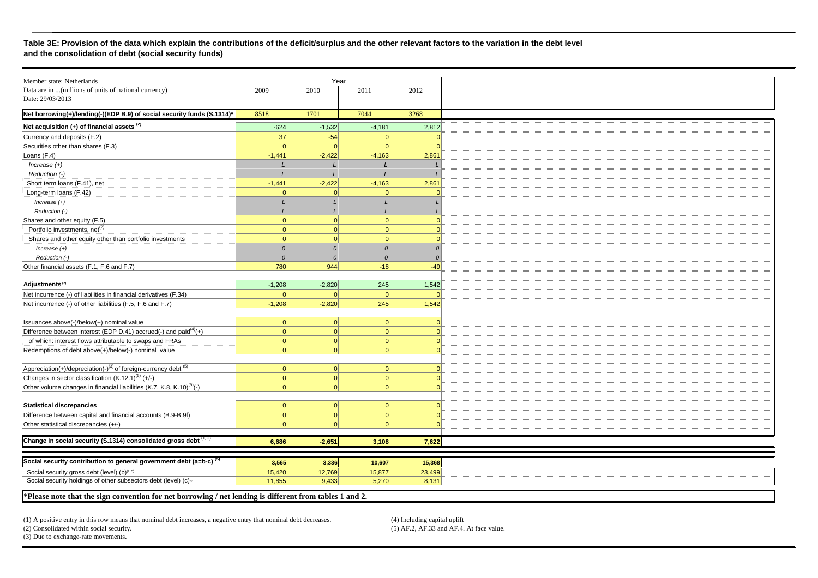#### **Table 3E: Provision of the data which explain the contributions of the deficit/surplus and the other relevant factors to the variation in the debt level and the consolidation of debt (social security funds)**

| Member state: Netherlands                                                                      |                | Year          |          |            |
|------------------------------------------------------------------------------------------------|----------------|---------------|----------|------------|
| Data are in  (millions of units of national currency)                                          | 2009           | 2010          | 2011     | 2012       |
| Date: 29/03/2013                                                                               |                |               |          |            |
|                                                                                                |                |               |          |            |
| Net borrowing(+)/lending(-)(EDP B.9) of social security funds (S.1314)*                        | 8518           | 1701          | 7044     | 3268       |
| Net acquisition $(+)$ of financial assets $(2)$                                                | $-624$         | $-1,532$      | $-4,181$ | 2,812      |
| Currency and deposits (F.2)                                                                    | 37             | $-54$         | $\Omega$ |            |
| Securities other than shares (F.3)                                                             | $\overline{0}$ | $\Omega$      | 0        |            |
| Loans (F.4)                                                                                    | $-1,441$       | $-2,422$      | $-4,163$ | 2,861      |
| Increase $(+)$                                                                                 |                |               |          |            |
| Reduction (-)                                                                                  |                |               |          |            |
| Short term loans (F.41), net                                                                   | $-1,441$       | $-2,422$      | $-4,163$ | 2,861      |
| Long-term loans (F.42)                                                                         | $\Omega$       | $\Omega$      | $\Omega$ |            |
| Increase $(+)$                                                                                 |                |               |          |            |
| Reduction (-)                                                                                  |                |               |          |            |
| Shares and other equity (F.5)                                                                  | $\Omega$       | 0             | $\Omega$ | $\Omega$   |
| Portfolio investments, net <sup>(2)</sup>                                                      | $\vert$ 0      | 0             | 0        | $\Omega$   |
| Shares and other equity other than portfolio investments                                       | $\Omega$       | 0             | $\Omega$ | $\Omega$   |
| $Increase (+)$                                                                                 | $\Omega$       | $\mathcal{O}$ | $\Omega$ | $\Omega$   |
| Reduction (-)                                                                                  | $\Omega$       | $\Omega$      | $\Omega$ | $\Omega$   |
| Other financial assets (F.1, F.6 and F.7)                                                      | 780            | 944           | $-18$    | $-49$      |
|                                                                                                |                |               |          |            |
| Adjustments <sup>(2)</sup>                                                                     | $-1,208$       | $-2,820$      | 245      | 1,542      |
| Net incurrence (-) of liabilities in financial derivatives (F.34)                              | $\Omega$       | $\Omega$      | $\Omega$ |            |
| Net incurrence (-) of other liabilities (F.5, F.6 and F.7)                                     | $-1,208$       | $-2,820$      | 245      | 1,542      |
|                                                                                                |                |               |          |            |
| Issuances above(-)/below(+) nominal value                                                      | 0              | 0             | 0        | $\Omega$   |
| Difference between interest (EDP D.41) accrued(-) and paid $^{(4)}$ (+)                        | 0              | 0             | 0        | $\Omega$   |
| of which: interest flows attributable to swaps and FRAs                                        | 0              | 0             | 0        | $\Omega$   |
| Redemptions of debt above(+)/below(-) nominal value                                            | $\vert$ 0      | 0             | 0        | $\Omega$   |
|                                                                                                |                |               |          |            |
| $\boxed{\text{Appreciation}(+)}/\text{deprecision}(-)^{(3)}$ of foreign-currency debt $^{(5)}$ | 0              | 0             | 0        | $\sqrt{ }$ |
| Changes in sector classification (K.12.1) <sup>(5)</sup> (+/-)                                 | 0              | 0             | 0        | $\Omega$   |
| Other volume changes in financial liabilities (K.7, K.8, K.10) <sup>(5)</sup> (-)              | $\Omega$       | $\Omega$      | $\Omega$ | $\sqrt{ }$ |
|                                                                                                |                |               |          |            |
| <b>Statistical discrepancies</b>                                                               | 0              | 0             | 0        | $\Omega$   |
| Difference between capital and financial accounts (B.9-B.9f)                                   | $\vert$ 0      | 0             | 0        | $\Omega$   |
|                                                                                                | $\Omega$       | $\Omega$      | $\Omega$ | $\Omega$   |
| Other statistical discrepancies (+/-)                                                          |                |               |          |            |
| Change in social security (S.1314) consolidated gross debt $(1, 2)$                            | 6,686          | $-2,651$      | 3,108    | 7,622      |
|                                                                                                |                |               |          |            |
|                                                                                                |                |               |          |            |
| Social security contribution to general government debt (a=b-c) <sup>(5)</sup>                 | 3,565          | 3,336         | 10,607   | 15,368     |
| Social security gross debt (level) (b) <sup>(2, 5)</sup>                                       | 15,420         | 12,769        | 15,877   | 23,499     |
| Social security holdings of other subsectors debt (level) (c) <sup>®</sup>                     | 11,855         | 9,433         | 5,270    | 8,131      |

**\*Please note that the sign convention for net borrowing / net lending is different from tables 1 and 2.** 

(1) A positive entry in this row means that nominal debt increases, a negative entry that nominal debt decreases. (4) Including capital uplift(2) Consolidated within social security.

 $(5)$  AF.2, AF.33 and AF.4. At face value.